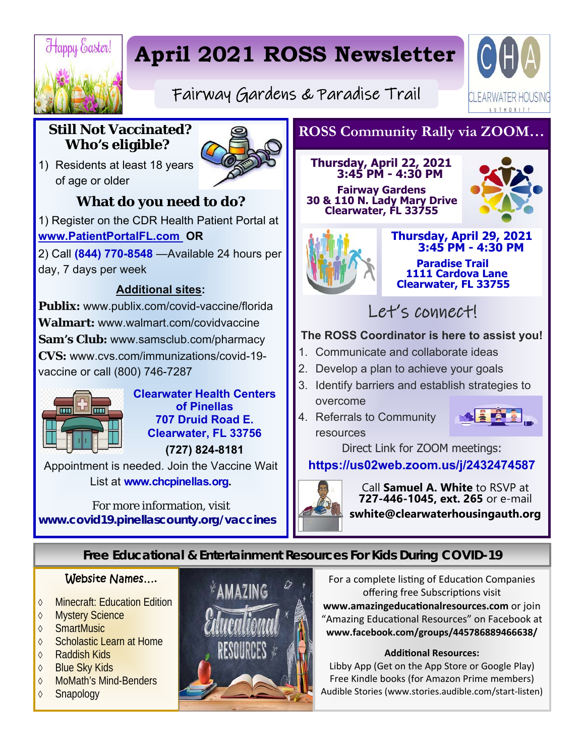

# **April 2021 ROSS Newsletter**



Fairway Gardens & Paradise Trail

# **Still Not Vaccinated? Who's eligible?**

1) Residents at least 18 years of age or older



# **What do you need to do?**

1) Register on the CDR Health Patient Portal at **www.PatientPortalFL.com OR** 

2) Call **(844) 770-8548** —Available 24 hours per day, 7 days per week

## **Additional sites:**

**Publix:** www.publix.com/covid-vaccine/florida **Walmart:** www.walmart.com/covidvaccine **Sam's Club:** www.samsclub.com/pharmacy **CVS:** www.cvs.com/immunizations/covid-19 vaccine or call (800) 746-7287



**Clearwater Health Centers of Pinellas 707 Druid Road E. Clearwater, FL 33756 (727) 824-8181** 

Appointment is needed. Join the Vaccine Wait List at **www.chcpinellas.org.** 

For more information, visit **www.covid19.pinellascounty.org/vaccines**

# **ROSS Community Rally via ZOOM…**

#### **Thursday, April 22, 2021 3:45 PM - 4:30 PM**

 **Fairway Gardens 30 & 110 N. Lady Mary Drive Clearwater, FL 33755** 





**Thursday, April 29, 2021 3:45 PM - 4:30 PM Paradise Trail 1111 Cardova Lane Clearwater, FL 33755** 

Let's connect!

### **The ROSS Coordinator is here to assist you!**

- 1. Communicate and collaborate ideas
- 2. Develop a plan to achieve your goals
- 3. Identify barriers and establish strategies to overcome
- 4. Referrals to Community resources



Direct Link for ZOOM meetings:

**https://us02web.zoom.us/j/2432474587**



Call **Samuel A. White** to RSVP at **727-446-1045, ext. 265** or e-mail **swhite@clearwaterhousingauth.org** 

# **Free Educational & Entertainment Resources For Kids During COVID-19**

### Website Names….

- **◇ Minecraft: Education Edition**
- ♦ Mystery Science
- **♦ SmartMusic**
- **♦ Scholastic Learn at Home**
- **♦ Raddish Kids**
- ♦ Blue Sky Kids
- **♦ MoMath's Mind-Benders**
- **♦ Snapology**



For a complete listing of Education Companies offering free Subscriptions visit www.amazingeducationalresources.com or join "Amazing Educational Resources" on Facebook at **www.facebook.com/groups/445786889466638/** 

#### **AddiƟonal Resources:**

Libby App (Get on the App Store or Google Play) Free Kindle books (for Amazon Prime members) Audible Stories (www.stories.audible.com/start‐listen)